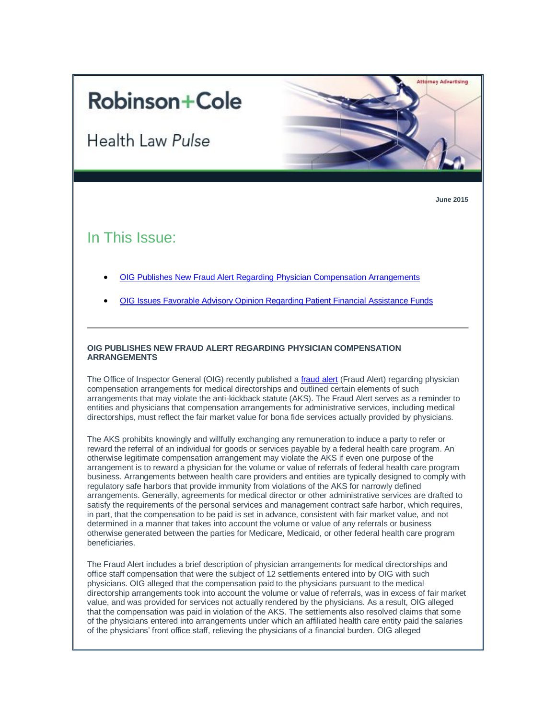# **Robinson+Cole**

Health Law Pulse



**Attorney Advertising** 

# In This Issue:

- [OIG Publishes New Fraud Alert Regarding](https://us.vocusm.com/SBEv2/zContact/MessageBuilder/MessagePreviewContentStrict.aspx?messageId=766&CompanyID=0&DataGroupId=0&AutoResponderId=0&DatabaseGroupId=0#1) Physician Compensation Arrangements
- [OIG Issues Favorable Advisory Opinion Regarding Patient Financial Assistance Funds](https://us.vocusm.com/SBEv2/zContact/MessageBuilder/MessagePreviewContentStrict.aspx?messageId=766&CompanyID=0&DataGroupId=0&AutoResponderId=0&DatabaseGroupId=0#2)

#### **OIG PUBLISHES NEW FRAUD ALERT REGARDING PHYSICIAN COMPENSATION ARRANGEMENTS**

The Office of Inspector General (OIG) recently published a *[fraud alert](http://oig.hhs.gov/compliance/alerts/guidance/Fraud_Alert_Physician_Compensation_06092015.pdf)* (Fraud Alert) regarding physician compensation arrangements for medical directorships and outlined certain elements of such arrangements that may violate the anti-kickback statute (AKS). The Fraud Alert serves as a reminder to entities and physicians that compensation arrangements for administrative services, including medical directorships, must reflect the fair market value for bona fide services actually provided by physicians.

The AKS prohibits knowingly and willfully exchanging any remuneration to induce a party to refer or reward the referral of an individual for goods or services payable by a federal health care program. An otherwise legitimate compensation arrangement may violate the AKS if even one purpose of the arrangement is to reward a physician for the volume or value of referrals of federal health care program business. Arrangements between health care providers and entities are typically designed to comply with regulatory safe harbors that provide immunity from violations of the AKS for narrowly defined arrangements. Generally, agreements for medical director or other administrative services are drafted to satisfy the requirements of the personal services and management contract safe harbor, which requires, in part, that the compensation to be paid is set in advance, consistent with fair market value, and not determined in a manner that takes into account the volume or value of any referrals or business otherwise generated between the parties for Medicare, Medicaid, or other federal health care program beneficiaries.

The Fraud Alert includes a brief description of physician arrangements for medical directorships and office staff compensation that were the subject of 12 settlements entered into by OIG with such physicians. OIG alleged that the compensation paid to the physicians pursuant to the medical directorship arrangements took into account the volume or value of referrals, was in excess of fair market value, and was provided for services not actually rendered by the physicians. As a result, OIG alleged that the compensation was paid in violation of the AKS. The settlements also resolved claims that some of the physicians entered into arrangements under which an affiliated health care entity paid the salaries of the physicians' front office staff, relieving the physicians of a financial burden. OIG alleged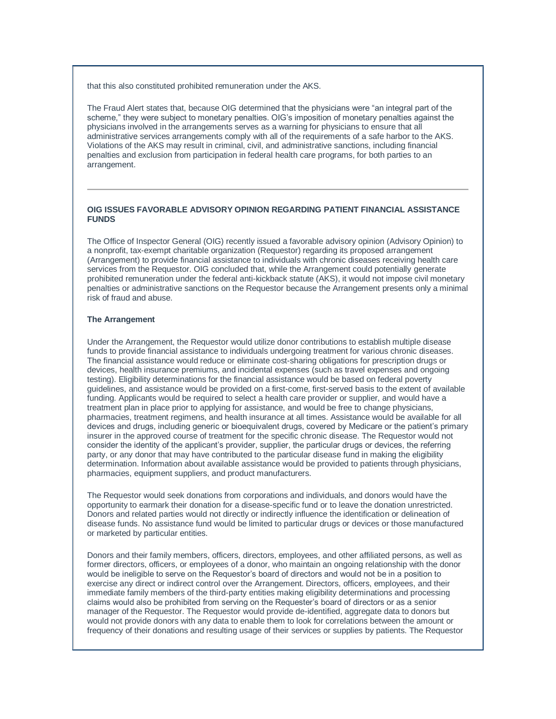that this also constituted prohibited remuneration under the AKS.

The Fraud Alert states that, because OIG determined that the physicians were "an integral part of the scheme," they were subject to monetary penalties. OIG's imposition of monetary penalties against the physicians involved in the arrangements serves as a warning for physicians to ensure that all administrative services arrangements comply with all of the requirements of a safe harbor to the AKS. Violations of the AKS may result in criminal, civil, and administrative sanctions, including financial penalties and exclusion from participation in federal health care programs, for both parties to an arrangement.

## **OIG ISSUES FAVORABLE ADVISORY OPINION REGARDING PATIENT FINANCIAL ASSISTANCE FUNDS**

The Office of Inspector General (OIG) recently issued a favorable advisory opinion (Advisory Opinion) to a nonprofit, tax-exempt charitable organization (Requestor) regarding its proposed arrangement (Arrangement) to provide financial assistance to individuals with chronic diseases receiving health care services from the Requestor. OIG concluded that, while the Arrangement could potentially generate prohibited remuneration under the federal anti-kickback statute (AKS), it would not impose civil monetary penalties or administrative sanctions on the Requestor because the Arrangement presents only a minimal risk of fraud and abuse.

### **The Arrangement**

Under the Arrangement, the Requestor would utilize donor contributions to establish multiple disease funds to provide financial assistance to individuals undergoing treatment for various chronic diseases. The financial assistance would reduce or eliminate cost-sharing obligations for prescription drugs or devices, health insurance premiums, and incidental expenses (such as travel expenses and ongoing testing). Eligibility determinations for the financial assistance would be based on federal poverty guidelines, and assistance would be provided on a first-come, first-served basis to the extent of available funding. Applicants would be required to select a health care provider or supplier, and would have a treatment plan in place prior to applying for assistance, and would be free to change physicians, pharmacies, treatment regimens, and health insurance at all times. Assistance would be available for all devices and drugs, including generic or bioequivalent drugs, covered by Medicare or the patient's primary insurer in the approved course of treatment for the specific chronic disease. The Requestor would not consider the identity of the applicant's provider, supplier, the particular drugs or devices, the referring party, or any donor that may have contributed to the particular disease fund in making the eligibility determination. Information about available assistance would be provided to patients through physicians, pharmacies, equipment suppliers, and product manufacturers.

The Requestor would seek donations from corporations and individuals, and donors would have the opportunity to earmark their donation for a disease-specific fund or to leave the donation unrestricted. Donors and related parties would not directly or indirectly influence the identification or delineation of disease funds. No assistance fund would be limited to particular drugs or devices or those manufactured or marketed by particular entities.

Donors and their family members, officers, directors, employees, and other affiliated persons, as well as former directors, officers, or employees of a donor, who maintain an ongoing relationship with the donor would be ineligible to serve on the Requestor's board of directors and would not be in a position to exercise any direct or indirect control over the Arrangement. Directors, officers, employees, and their immediate family members of the third-party entities making eligibility determinations and processing claims would also be prohibited from serving on the Requester's board of directors or as a senior manager of the Requestor. The Requestor would provide de-identified, aggregate data to donors but would not provide donors with any data to enable them to look for correlations between the amount or frequency of their donations and resulting usage of their services or supplies by patients. The Requestor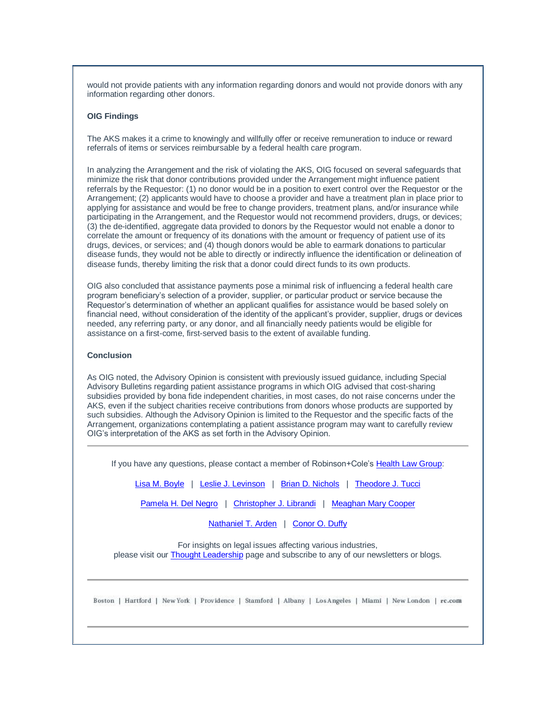would not provide patients with any information regarding donors and would not provide donors with any information regarding other donors.

#### **OIG Findings**

The AKS makes it a crime to knowingly and willfully offer or receive remuneration to induce or reward referrals of items or services reimbursable by a federal health care program.

In analyzing the Arrangement and the risk of violating the AKS, OIG focused on several safeguards that minimize the risk that donor contributions provided under the Arrangement might influence patient referrals by the Requestor: (1) no donor would be in a position to exert control over the Requestor or the Arrangement; (2) applicants would have to choose a provider and have a treatment plan in place prior to applying for assistance and would be free to change providers, treatment plans, and/or insurance while participating in the Arrangement, and the Requestor would not recommend providers, drugs, or devices; (3) the de-identified, aggregate data provided to donors by the Requestor would not enable a donor to correlate the amount or frequency of its donations with the amount or frequency of patient use of its drugs, devices, or services; and (4) though donors would be able to earmark donations to particular disease funds, they would not be able to directly or indirectly influence the identification or delineation of disease funds, thereby limiting the risk that a donor could direct funds to its own products.

OIG also concluded that assistance payments pose a minimal risk of influencing a federal health care program beneficiary's selection of a provider, supplier, or particular product or service because the Requestor's determination of whether an applicant qualifies for assistance would be based solely on financial need, without consideration of the identity of the applicant's provider, supplier, drugs or devices needed, any referring party, or any donor, and all financially needy patients would be eligible for assistance on a first-come, first-served basis to the extent of available funding.

#### **Conclusion**

As OIG noted, the Advisory Opinion is consistent with previously issued guidance, including Special Advisory Bulletins regarding patient assistance programs in which OIG advised that cost-sharing subsidies provided by bona fide independent charities, in most cases, do not raise concerns under the AKS, even if the subject charities receive contributions from donors whose products are supported by such subsidies. Although the Advisory Opinion is limited to the Requestor and the specific facts of the Arrangement, organizations contemplating a patient assistance program may want to carefully review OIG's interpretation of the AKS as set forth in the Advisory Opinion.

If you have any questions, please contact a member of Robinson+Cole's [Health Law Group:](http://www.rc.com/practices/HealthLaw/index.cfm)

[Lisa M. Boyle](http://www.rc.com/people/LisaMBoyle.cfm) | [Leslie J. Levinson](http://www.rc.com/people/LeslieJLevinson.cfm) | [Brian D. Nichols](http://www.rc.com/people/BrianDNichols.cfm) | [Theodore J. Tucci](http://www.rc.com/people/TheodoreJTucci.cfm)

[Pamela H. Del Negro](http://www.rc.com/people/PamelaHDelNegro.cfm) | [Christopher J. Librandi](http://www.rc.com/people/ChristopherJLibrandi.cfm) | [Meaghan Mary Cooper](http://www.rc.com/people/MeaghanMaryCooper.cfm)

[Nathaniel T. Arden](http://www.rc.com/people/NathanielTArden.cfm) | [Conor O. Duffy](http://www.rc.com/people/ConorODuffy.cfm)

For insights on legal issues affecting various industries, please visit our **[Thought Leadership](http://www.rc.com/subscribe-now.cfm)** page and subscribe to any of our newsletters or blogs.

Boston | Hartford | New York | Providence | Stamford | Albany | Los Angeles | Miami | New London | rc.com